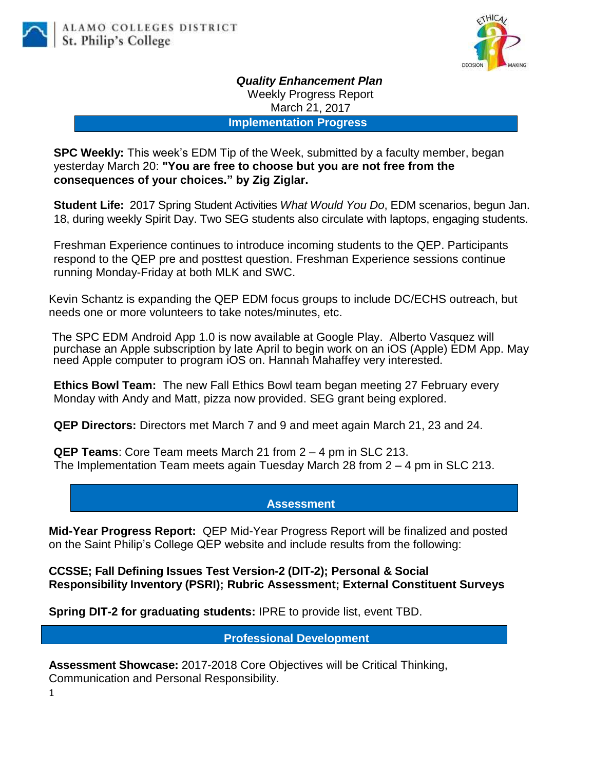

*Quality Enhancement Plan* Weekly Progress Report March 21, 2017

**Implementation Progress**

**SPC Weekly:** This week's EDM Tip of the Week, submitted by a faculty member, began yesterday March 20: **"You are free to choose but you are not free from the consequences of your choices." by Zig Ziglar.**

**Student Life:** 2017 Spring Student Activities *What Would You Do*, EDM scenarios, begun Jan. 18, during weekly Spirit Day. Two SEG students also circulate with laptops, engaging students.

Freshman Experience continues to introduce incoming students to the QEP. Participants respond to the QEP pre and posttest question. Freshman Experience sessions continue running Monday-Friday at both MLK and SWC.

Kevin Schantz is expanding the QEP EDM focus groups to include DC/ECHS outreach, but needs one or more volunteers to take notes/minutes, etc.

The SPC EDM Android App 1.0 is now available at Google Play. Alberto Vasquez will purchase an Apple subscription by late April to begin work on an iOS (Apple) EDM App. May need Apple computer to program iOS on. Hannah Mahaffey very interested.

**Ethics Bowl Team:** The new Fall Ethics Bowl team began meeting 27 February every Monday with Andy and Matt, pizza now provided. SEG grant being explored.

**QEP Directors:** Directors met March 7 and 9 and meet again March 21, 23 and 24.

**QEP Teams**: Core Team meets March 21 from 2 – 4 pm in SLC 213. The Implementation Team meets again Tuesday March 28 from 2 – 4 pm in SLC 213.

## **Assessment**

**Mid-Year Progress Report:** QEP Mid-Year Progress Report will be finalized and posted on the Saint Philip's College QEP website and include results from the following:

**CCSSE; Fall Defining Issues Test Version-2 (DIT-2); Personal & Social Responsibility Inventory (PSRI); Rubric Assessment; External Constituent Surveys**

**Spring DIT-2 for graduating students:** IPRE to provide list, event TBD.

## **Professional Development**

**Assessment Showcase:** 2017-2018 Core Objectives will be Critical Thinking, Communication and Personal Responsibility.

1